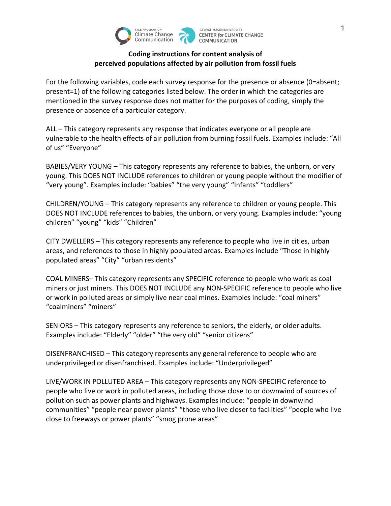

## **Coding instructions for content analysis of perceived populations affected by air pollution from fossil fuels**

For the following variables, code each survey response for the presence or absence (0=absent; present=1) of the following categories listed below. The order in which the categories are mentioned in the survey response does not matter for the purposes of coding, simply the presence or absence of a particular category.

ALL – This category represents any response that indicates everyone or all people are vulnerable to the health effects of air pollution from burning fossil fuels. Examples include: "All of us" "Everyone"

BABIES/VERY YOUNG – This category represents any reference to babies, the unborn, or very young. This DOES NOT INCLUDE references to children or young people without the modifier of "very young". Examples include: "babies" "the very young" "Infants" "toddlers"

CHILDREN/YOUNG – This category represents any reference to children or young people. This DOES NOT INCLUDE references to babies, the unborn, or very young. Examples include: "young children" "young" "kids" "Children"

CITY DWELLERS – This category represents any reference to people who live in cities, urban areas, and references to those in highly populated areas. Examples include "Those in highly populated areas" "City" "urban residents"

COAL MINERS– This category represents any SPECIFIC reference to people who work as coal miners or just miners. This DOES NOT INCLUDE any NON-SPECIFIC reference to people who live or work in polluted areas or simply live near coal mines. Examples include: "coal miners" "coalminers" "miners"

SENIORS – This category represents any reference to seniors, the elderly, or older adults. Examples include: "Elderly" "older" "the very old" "senior citizens"

DISENFRANCHISED – This category represents any general reference to people who are underprivileged or disenfranchised. Examples include: "Underprivileged"

LIVE/WORK IN POLLUTED AREA – This category represents any NON-SPECIFIC reference to people who live or work in polluted areas, including those close to or downwind of sources of pollution such as power plants and highways. Examples include: "people in downwind communities" "people near power plants" "those who live closer to facilities" "people who live close to freeways or power plants" "smog prone areas"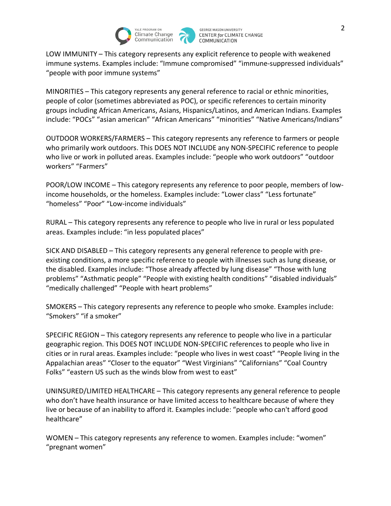

LOW IMMUNITY – This category represents any explicit reference to people with weakened immune systems. Examples include: "Immune compromised" "immune-suppressed individuals" "people with poor immune systems"

MINORITIES – This category represents any general reference to racial or ethnic minorities, people of color (sometimes abbreviated as POC), or specific references to certain minority groups including African Americans, Asians, Hispanics/Latinos, and American Indians. Examples include: "POCs" "asian american" "African Americans" "minorities" "Native Americans/Indians"

OUTDOOR WORKERS/FARMERS – This category represents any reference to farmers or people who primarily work outdoors. This DOES NOT INCLUDE any NON-SPECIFIC reference to people who live or work in polluted areas. Examples include: "people who work outdoors" "outdoor workers" "Farmers"

POOR/LOW INCOME – This category represents any reference to poor people, members of lowincome households, or the homeless. Examples include: "Lower class" "Less fortunate" "homeless" "Poor" "Low-income individuals"

RURAL – This category represents any reference to people who live in rural or less populated areas. Examples include: "in less populated places"

SICK AND DISABLED – This category represents any general reference to people with preexisting conditions, a more specific reference to people with illnesses such as lung disease, or the disabled. Examples include: "Those already affected by lung disease" "Those with lung problems" "Asthmatic people" "People with existing health conditions" "disabled individuals" "medically challenged" "People with heart problems"

SMOKERS – This category represents any reference to people who smoke. Examples include: "Smokers" "if a smoker"

SPECIFIC REGION – This category represents any reference to people who live in a particular geographic region. This DOES NOT INCLUDE NON-SPECIFIC references to people who live in cities or in rural areas. Examples include: "people who lives in west coast" "People living in the Appalachian areas" "Closer to the equator" "West Virginians" "Californians" "Coal Country Folks" "eastern US such as the winds blow from west to east"

UNINSURED/LIMITED HEALTHCARE – This category represents any general reference to people who don't have health insurance or have limited access to healthcare because of where they live or because of an inability to afford it. Examples include: "people who can't afford good healthcare"

WOMEN – This category represents any reference to women. Examples include: "women" "pregnant women"